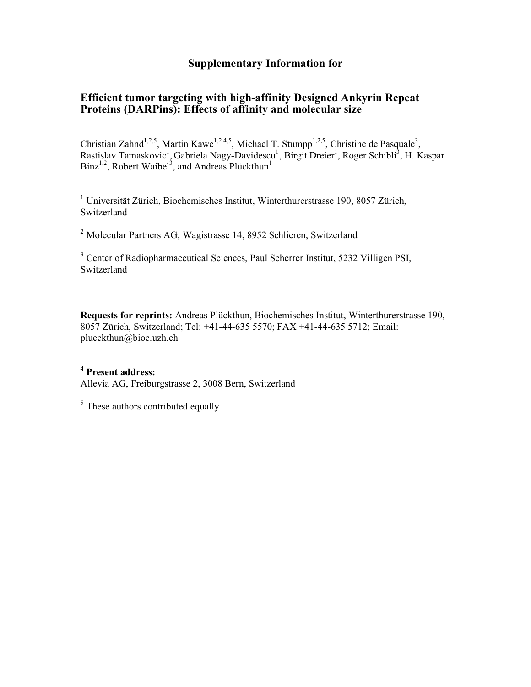# **Supplementary Information for**

# **Efficient tumor targeting with high-affinity Designed Ankyrin Repeat Proteins (DARPins): Effects of affinity and molecular size**

Christian Zahnd<sup>1,2,5</sup>, Martin Kawe<sup>1,24,5</sup>, Michael T. Stumpp<sup>1,2,5</sup>, Christine de Pasquale<sup>3</sup>, Rastislav Tamaskovic<sup>1</sup>, Gabriela Nagy-Davidescu<sup>1</sup>, Birgit Dreier<sup>1</sup>, Roger Schibli<sup>3</sup>, H. Kaspar  $\text{Binz}^{1,2}$ , Robert Waibel<sup>3</sup>, and Andreas Plückthun<sup>1</sup>

<sup>1</sup> Universität Zürich, Biochemisches Institut, Winterthurerstrasse 190, 8057 Zürich, Switzerland

<sup>2</sup> Molecular Partners AG, Wagistrasse 14, 8952 Schlieren, Switzerland

<sup>3</sup> Center of Radiopharmaceutical Sciences, Paul Scherrer Institut, 5232 Villigen PSI, Switzerland

**Requests for reprints:** Andreas Plückthun, Biochemisches Institut, Winterthurerstrasse 190, 8057 Zürich, Switzerland; Tel: +41-44-635 5570; FAX +41-44-635 5712; Email: plueckthun@bioc.uzh.ch

## **4 Present address:**

Allevia AG, Freiburgstrasse 2, 3008 Bern, Switzerland

<sup>5</sup> These authors contributed equally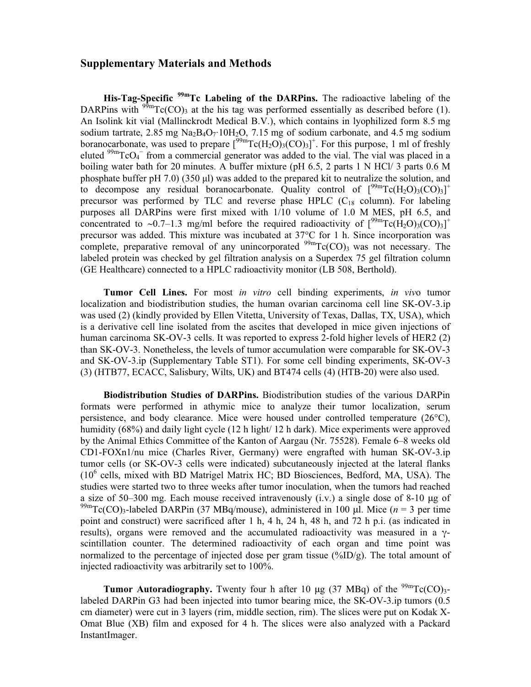### **Supplementary Materials and Methods**

**His-Tag-Specific 99mTc Labeling of the DARPins.** The radioactive labeling of the DARPins with  $^{99m}Tc(CO)$ <sub>3</sub> at the his tag was performed essentially as described before (1). An Isolink kit vial (Mallinckrodt Medical B.V.), which contains in lyophilized form 8.5 mg sodium tartrate, 2.85 mg  $\text{Na}_2\text{B}_4\text{O}_7$  10H<sub>2</sub>O, 7.15 mg of sodium carbonate, and 4.5 mg sodium boranocarbonate, was used to prepare  $\binom{99 \text{m}}{2}$  c(H<sub>2</sub>O)<sub>3</sub>(CO)<sub>3</sub><sup>+</sup>. For this purpose, 1 ml of freshly eluted  $\frac{99 \text{m}}{\text{TCO}_4}$  from a commercial generator was added to the vial. The vial was placed in a boiling water bath for 20 minutes. A buffer mixture (pH 6.5, 2 parts 1 N HCl/ 3 parts 0.6 M phosphate buffer pH 7.0) (350 μl) was added to the prepared kit to neutralize the solution, and to decompose any residual boranocarbonate. Quality control of  $[{}^{99m}\text{Tc}(\text{H}_2\text{O})_3(\text{CO})_3]^+$ precursor was performed by TLC and reverse phase HPLC  $(C_{18}$  column). For labeling purposes all DARPins were first mixed with 1/10 volume of 1.0 M MES, pH 6.5, and concentrated to ~0.7–1.3 mg/ml before the required radioactivity of  $\left[^{99m}\text{Tc}(\hat{H_2O})_3(\text{CO})_3\right]^+$ precursor was added. This mixture was incubated at 37°C for 1 h. Since incorporation was complete, preparative removal of any unincorporated  $\frac{99 \text{m}}{\text{Tc(CO)}}$  was not necessary. The labeled protein was checked by gel filtration analysis on a Superdex 75 gel filtration column (GE Healthcare) connected to a HPLC radioactivity monitor (LB 508, Berthold).

**Tumor Cell Lines.** For most *in vitro* cell binding experiments, *in viv*o tumor localization and biodistribution studies, the human ovarian carcinoma cell line SK-OV-3.ip was used (2) (kindly provided by Ellen Vitetta, University of Texas, Dallas, TX, USA), which is a derivative cell line isolated from the ascites that developed in mice given injections of human carcinoma SK-OV-3 cells. It was reported to express 2-fold higher levels of HER2 (2) than SK-OV-3. Nonetheless, the levels of tumor accumulation were comparable for SK-OV-3 and SK-OV-3.ip (Supplementary Table ST1). For some cell binding experiments, SK-OV-3 (3) (HTB77, ECACC, Salisbury, Wilts, UK) and BT474 cells (4) (HTB-20) were also used.

**Biodistribution Studies of DARPins.** Biodistribution studies of the various DARPin formats were performed in athymic mice to analyze their tumor localization, serum persistence, and body clearance. Mice were housed under controlled temperature  $(26^{\circ}C)$ , humidity (68%) and daily light cycle (12 h light/ 12 h dark). Mice experiments were approved by the Animal Ethics Committee of the Kanton of Aargau (Nr. 75528). Female 6–8 weeks old CD1-FOXn1/nu mice (Charles River, Germany) were engrafted with human SK-OV-3.ip tumor cells (or SK-OV-3 cells were indicated) subcutaneously injected at the lateral flanks  $(10^6 \text{ cells}, \text{mixed with BD Matrigel Matrix HC}; \text{BD Biosciences}, \text{Bedford}, \text{MA}, \text{USA})$ . The studies were started two to three weeks after tumor inoculation, when the tumors had reached a size of  $50-300$  mg. Each mouse received intravenously (i.v.) a single dose of  $8-10 \mu$ g of <sup>99m</sup>Tc(CO)<sub>3</sub>-labeled DARPin (37 MBq/mouse), administered in 100  $\mu$ l. Mice (*n* = 3 per time<br>point and construct) were sacrificed after 1 h 4 h 24 h 48 h and 72 h n i (as indicated in point and construct) were sacrificed after 1 h, 4 h, 24 h, 48 h, and 72 h p.i. (as indicated in results), organs were removed and the accumulated radioactivity was measured in a  $\gamma$ scintillation counter. The determined radioactivity of each organ and time point was normalized to the percentage of injected dose per gram tissue  $(\frac{\%}{ID/g})$ . The total amount of injected radioactivity was arbitrarily set to 100%.

**Tumor Autoradiography.** Twenty four h after 10  $\mu$ g (37 MBq) of the  $\frac{99m}{\text{TC(CO)}}$ <sub>3</sub>labeled DARPin G3 had been injected into tumor bearing mice, the SK-OV-3.ip tumors (0.5 cm diameter) were cut in 3 layers (rim, middle section, rim). The slices were put on Kodak X-Omat Blue (XB) film and exposed for 4 h. The slices were also analyzed with a Packard InstantImager.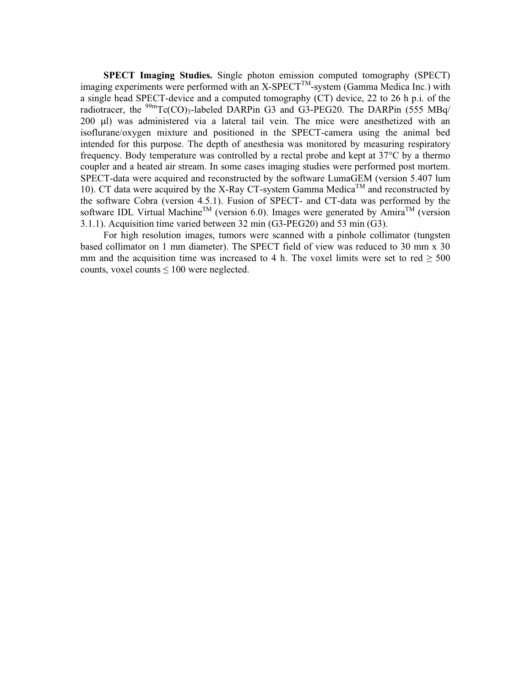**SPECT Imaging Studies.** Single photon emission computed tomography (SPECT) imaging experiments were performed with an  $X$ -SPECT<sup>TM</sup>-system (Gamma Medica Inc.) with a single head SPECT-device and a computed tomography (CT) device, 22 to 26 h p.i. of the radiotracer, the  $^{99m}Tc(CO)$ <sub>3</sub>-labeled DARPin G3 and G3-PEG20. The DARPin (555 MBq/ 200 µl) was administered via a lateral tail vein. The mice were anesthetized with an isoflurane/oxygen mixture and positioned in the SPECT-camera using the animal bed intended for this purpose. The depth of anesthesia was monitored by measuring respiratory frequency. Body temperature was controlled by a rectal probe and kept at 37°C by a thermo coupler and a heated air stream. In some cases imaging studies were performed post mortem. SPECT-data were acquired and reconstructed by the software LumaGEM (version 5.407 lum 10). CT data were acquired by the X-Ray CT-system Gamma Medica<sup>TM</sup> and reconstructed by the software Cobra (version 4.5.1). Fusion of SPECT- and CT-data was performed by the software IDL Virtual Machine<sup>TM</sup> (version 6.0). Images were generated by Amira<sup>TM</sup> (version 3.1.1). Acquisition time varied between 32 min (G3-PEG20) and 53 min (G3).

For high resolution images, tumors were scanned with a pinhole collimator (tungsten based collimator on 1 mm diameter). The SPECT field of view was reduced to 30 mm x 30 mm and the acquisition time was increased to 4 h. The voxel limits were set to red  $\geq$  500 counts, voxel counts  $\leq 100$  were neglected.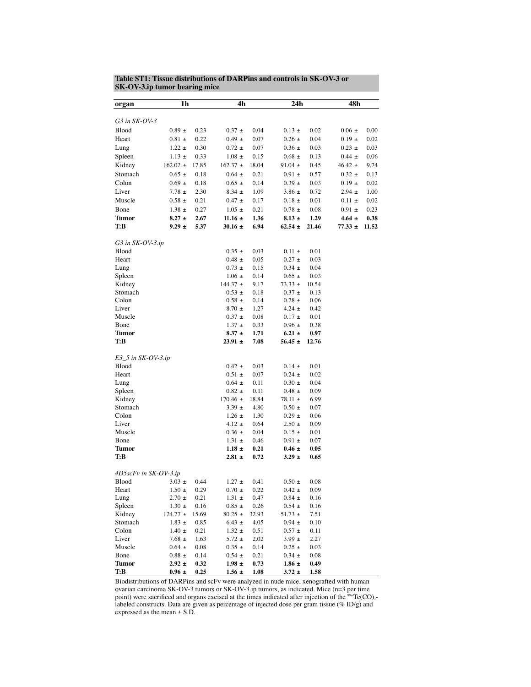| organ                                 | 1h                         |               | 4h                        |               |                           | 24 <sub>h</sub> |             | 48h   |  |
|---------------------------------------|----------------------------|---------------|---------------------------|---------------|---------------------------|-----------------|-------------|-------|--|
|                                       |                            |               |                           |               |                           |                 |             |       |  |
| $G3$ in $SK-OV-3$                     |                            |               |                           |               |                           |                 |             |       |  |
| <b>Blood</b>                          | $0.89 \pm$                 | 0.23          | $0.37 \pm$                | 0.04          | $0.13 \pm$                | 0.02            | $0.06 \pm$  | 0.00  |  |
| Heart                                 | $0.81 \pm$                 | 0.22          | $0.49 \pm$                | 0.07          | $0.26 \pm$                | 0.04            | $0.19 \pm$  | 0.02  |  |
| Lung                                  | $1.22 \pm$                 | 0.30          | $0.72 \pm$                | 0.07          | $0.36 \pm$                | 0.03            | $0.23 \pm$  | 0.03  |  |
| Spleen                                | $1.13 \pm$                 | 0.33          | $1.08 \pm$                | 0.15          | $0.68 \pm$                | 0.13            | $0.44 \pm$  | 0.06  |  |
| Kidney                                | $162.02 \pm$               | 17.85         | $162.37 \pm$              | 18.04         | $91.04 \pm$               | 0.45            | $46.42 \pm$ | 9.74  |  |
| Stomach                               | $0.65 \pm$                 | 0.18          | $0.64 \pm$                | 0.21          | $0.91 \pm$                | 0.57            | $0.32 \pm$  | 0.13  |  |
| Colon                                 | $0.69 \pm$                 | 0.18          | $0.65 \pm$                | 0.14          | $0.39 \pm$                | 0.03            | $0.19 \pm$  | 0.02  |  |
| Liver                                 | $7.78 \pm$                 | 2.30          | $8.34 \pm$                | 1.09          | $3.86 \pm$                | 0.72            | $2.94 \pm$  | 1.00  |  |
| Muscle                                | $0.58 \pm$                 | 0.21          | $0.47 \pm$                | 0.17          | $0.18 \pm$                | 0.01            | $0.11 \pm$  | 0.02  |  |
| Bone                                  | $1.38 \pm$                 | 0.27          | $1.05 \pm$                | 0.21          | $0.78 \pm$                | 0.08            | $0.91 \pm$  | 0.23  |  |
| <b>Tumor</b>                          | $8.27 \pm$                 | 2.67          | $11.16 \pm$               | 1.36          | $8.13 \pm$                | 1.29            | $4.64 \pm$  | 0.38  |  |
| T:B                                   | $9.29 \pm$                 | 5.37          | $30.16 \pm$               | 6.94          | $62.54 \pm$               | 21.46           | $77.33 \pm$ | 11.52 |  |
|                                       |                            |               |                           |               |                           |                 |             |       |  |
| G3 in SK-OV-3.ip                      |                            |               |                           |               |                           |                 |             |       |  |
| <b>Blood</b>                          |                            |               | $0.35 \pm$                | 0.03          | $0.11 \pm$                | 0.01            |             |       |  |
| Heart                                 |                            |               | $0.48 \pm$                | 0.05          | $0.27 \pm$                | 0.03            |             |       |  |
| Lung                                  |                            |               | $0.73 \pm$                | 0.15          | $0.34 \pm$                | 0.04            |             |       |  |
| Spleen                                |                            |               | $1.06 \pm$                | 0.14          | $0.65 \pm$                | 0.03            |             |       |  |
| Kidney                                |                            |               | $144.37 \pm$              | 9.17          | $73.33 \pm$               | 10.54           |             |       |  |
| Stomach                               |                            |               | $0.53 \pm$                | 0.18          | $0.37 \pm$                | 0.13            |             |       |  |
| Colon                                 |                            |               | $0.58 \pm$                | 0.14          | $0.28 \pm$                | 0.06            |             |       |  |
| Liver                                 |                            |               | $8.70 \pm$                | 1.27          | 4.24 $\pm$                | 0.42            |             |       |  |
| Muscle                                |                            |               | $0.37 \pm$                | 0.08          | $0.17 \pm$                | 0.01            |             |       |  |
| Bone                                  |                            |               | $1.37 \pm$                | 0.33          | $0.96 \pm$                | 0.38            |             |       |  |
| Tumor                                 |                            |               | $8.37 \pm$                | 1.71          | $6.21 \pm$                | 0.97            |             |       |  |
| T:B                                   |                            |               | $23.91 \pm$               | 7.08          | $56.45 \pm$               | 12.76           |             |       |  |
|                                       |                            |               |                           |               |                           |                 |             |       |  |
| $E3\_5$ in SK-OV-3.ip<br><b>Blood</b> |                            |               | $0.42 \pm$                | 0.03          |                           |                 |             |       |  |
| Heart                                 |                            |               | $0.51 \pm$                | 0.07          | $0.14 \pm$<br>$0.24 \pm$  | 0.01<br>0.02    |             |       |  |
| Lung                                  |                            |               | $0.64 \pm$                | 0.11          | $0.30 \pm$                | 0.04            |             |       |  |
| Spleen                                |                            |               | $0.82 \pm$                | 0.11          | $0.48 \pm$                | 0.09            |             |       |  |
| Kidney                                |                            |               | $170.46 \pm$              | 18.84         | $78.11 \pm$               | 6.99            |             |       |  |
| Stomach                               |                            |               | $3.39 \pm$                | 4.80          | $0.50 \pm$                | 0.07            |             |       |  |
| Colon                                 |                            |               | $1.26 \pm$                | 1.30          | $0.29 \pm$                | 0.06            |             |       |  |
| Liver                                 |                            |               | $4.12 \pm$                | 0.64          | $2.50 \pm$                | 0.09            |             |       |  |
| Muscle                                |                            |               | $0.36 \pm$                | 0.04          | $0.15 \pm$                | 0.01            |             |       |  |
| Bone                                  |                            |               | $1.31 \pm$                | 0.46          | $0.91 \pm$                | 0.07            |             |       |  |
| Tumor                                 |                            |               | $1.18 \pm$                | 0.21          | $0.46 \pm$                | 0.05            |             |       |  |
| T:B                                   |                            |               | $2.81 \pm$                | 0.72          | $3.29 \pm$                | 0.65            |             |       |  |
|                                       |                            |               |                           |               |                           |                 |             |       |  |
| 4D5scFv in SK-OV-3.ip                 |                            |               |                           |               |                           |                 |             |       |  |
| <b>Blood</b>                          | $3.03 \pm$                 | 0.44          | $1.27 \pm$                | 0.41          | $0.50 \pm$                | 0.08            |             |       |  |
| Heart                                 | $1.50 \pm$                 | 0.29          | $0.70 \pm$                | 0.22          | $0.42~\pm$                | 0.09            |             |       |  |
| Lung                                  | $2.70 \pm$                 | 0.21          | $1.31 \pm$                | 0.47          | $0.84 \pm$                | 0.16            |             |       |  |
| Spleen<br>Kidney                      | $1.30 \pm$                 | 0.16<br>15.69 | $0.85 \pm$                | 0.26<br>32.93 | $0.54 \pm$<br>$51.73 \pm$ | 0.16<br>7.51    |             |       |  |
| Stomach                               | $124.77 \pm$<br>1.83 $\pm$ | 0.85          | $80.25 \pm$<br>$6.43 \pm$ | 4.05          | $0.94~\pm$                | $0.10\,$        |             |       |  |
| Colon                                 | $1.40 \pm$                 | 0.21          | $1.32~\pm$                | 0.51          | $0.57 \pm$                | 0.11            |             |       |  |
| Liver                                 | 7.68 $\pm$                 | 1.63          | 5.72 $\pm$                | 2.02          | $3.99 \pm$                | 2.27            |             |       |  |
| Muscle                                | $0.64 \pm$                 | 0.08          | $0.35 \pm$                | 0.14          | $0.25 \pm$                | 0.03            |             |       |  |
| Bone                                  | $0.88 \pm$                 | 0.14          | $0.54 \pm$                | 0.21          | $0.34 \pm$                | 0.08            |             |       |  |
| <b>Tumor</b>                          | $2.92 \pm$                 | 0.32          | $1.98 \pm$                | 0.73          | $1.86 \pm$                | 0.49            |             |       |  |
| T:B                                   | $0.96 \pm$                 | 0.25          | $1.56 \pm$                | 1.08          | $3.72 \pm$                | 1.58            |             |       |  |

#### **Table ST1: Tissue distributions of DARPins and controls in SK-OV-3 or SK-OV-3.ip tumor bearing mice**

Biodistributions of DARPins and scFv were analyzed in nude mice, xenografted with human ovarian carcinoma SK-OV-3 tumors or SK-OV-3.ip tumors, as indicated. Mice (n=3 per time point) were sacrificed and organs excised at the times indicated after injection of the  $\frac{99m}{\text{TC(CO)}_3}$ labeled constructs. Data are given as percentage of injected dose per gram tissue (% ID/g) and expressed as the mean  $\pm$  S.D.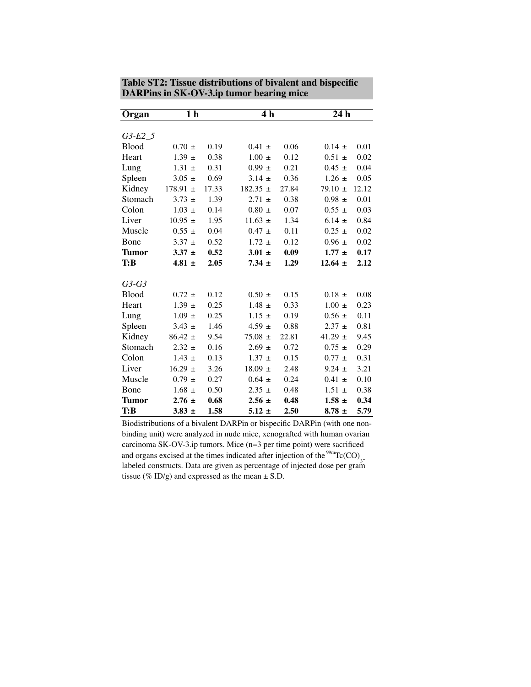| Organ        | 1 <sub>h</sub> |       | $\overline{4h}$ |       |             | $\overline{24h}$ |  |
|--------------|----------------|-------|-----------------|-------|-------------|------------------|--|
|              |                |       |                 |       |             |                  |  |
| $G3-E2$ 5    |                |       |                 |       |             |                  |  |
| <b>Blood</b> | $0.70 \pm$     | 0.19  | $0.41 \pm$      | 0.06  | $0.14 \pm$  | 0.01             |  |
| Heart        | $1.39 \pm$     | 0.38  | $1.00 \pm$      | 0.12  | $0.51 \pm$  | 0.02             |  |
| Lung         | $1.31 \pm$     | 0.31  | $0.99 \pm$      | 0.21  | $0.45 \pm$  | 0.04             |  |
| Spleen       | $3.05 \pm$     | 0.69  | $3.14 \pm$      | 0.36  | $1.26 \pm$  | 0.05             |  |
| Kidney       | $178.91 \pm$   | 17.33 | $182.35 \pm$    | 27.84 | $79.10 \pm$ | 12.12            |  |
| Stomach      | $3.73 \pm$     | 1.39  | $2.71 \pm$      | 0.38  | $0.98 \pm$  | 0.01             |  |
| Colon        | $1.03 \pm$     | 0.14  | $0.80 \pm$      | 0.07  | $0.55 \pm$  | 0.03             |  |
| Liver        | $10.95 \pm$    | 1.95  | $11.63 \pm$     | 1.34  | $6.14 \pm$  | 0.84             |  |
| Muscle       | $0.55 \pm$     | 0.04  | $0.47 \pm$      | 0.11  | $0.25 \pm$  | 0.02             |  |
| Bone         | $3.37 \pm$     | 0.52  | $1.72 \pm$      | 0.12  | $0.96 \pm$  | 0.02             |  |
| <b>Tumor</b> | $3.37 \pm$     | 0.52  | $3.01 \pm$      | 0.09  | $1.77 \pm$  | 0.17             |  |
| T:B          | $4.81 \pm$     | 2.05  | $7.34 \pm$      | 1.29  | $12.64 \pm$ | 2.12             |  |
|              |                |       |                 |       |             |                  |  |
| $G3-G3$      |                |       |                 |       |             |                  |  |
| <b>Blood</b> | $0.72 \pm$     | 0.12  | $0.50 \pm$      | 0.15  | $0.18 \pm$  | 0.08             |  |
| Heart        | $1.39 \pm$     | 0.25  | $1.48 \pm$      | 0.33  | $1.00 \pm$  | 0.23             |  |
| Lung         | $1.09 \pm$     | 0.25  | $1.15 \pm$      | 0.19  | $0.56 \pm$  | 0.11             |  |
| Spleen       | $3.43 \pm$     | 1.46  | $4.59 \pm$      | 0.88  | $2.37 \pm$  | 0.81             |  |
| Kidney       | $86.42 \pm$    | 9.54  | 75.08 $\pm$     | 22.81 | 41.29 $\pm$ | 9.45             |  |
| Stomach      | $2.32 \pm$     | 0.16  | $2.69 \pm$      | 0.72  | $0.75 \pm$  | 0.29             |  |
| Colon        | $1.43 \pm$     | 0.13  | $1.37 \pm$      | 0.15  | $0.77 \pm$  | 0.31             |  |
| Liver        | $16.29 \pm$    | 3.26  | $18.09 \pm$     | 2.48  | $9.24 \pm$  | 3.21             |  |
| Muscle       | $0.79 \pm$     | 0.27  | $0.64 \pm$      | 0.24  | $0.41 \pm$  | 0.10             |  |
| Bone         | $1.68 \pm$     | 0.50  | $2.35 \pm$      | 0.48  | $1.51 \pm$  | 0.38             |  |
| <b>Tumor</b> | $2.76 \pm$     | 0.68  | $2.56 \pm$      | 0.48  | $1.58 \pm$  | 0.34             |  |
| T:B          | $3.83 \pm$     | 1.58  | $5.12 \pm$      | 2.50  | $8.78 \pm$  | 5.79             |  |

**Table ST2: Tissue distributions of bivalent and bispecific DARPins in SK-OV-3.ip tumor bearing mice**

Biodistributions of a bivalent DARPin or bispecific DARPin (with one nonbinding unit) were analyzed in nude mice, xenografted with human ovarian carcinoma SK-OV-3.ip tumors. Mice (n=3 per time point) were sacrificed and organs excised at the times indicated after injection of the  $\frac{99 \text{m}}{\text{C(CO)}}$ <br>labeled constructs. Data are given as percentage of injected dose per gram tissue (% ID/g) and expressed as the mean  $\pm$  S.D.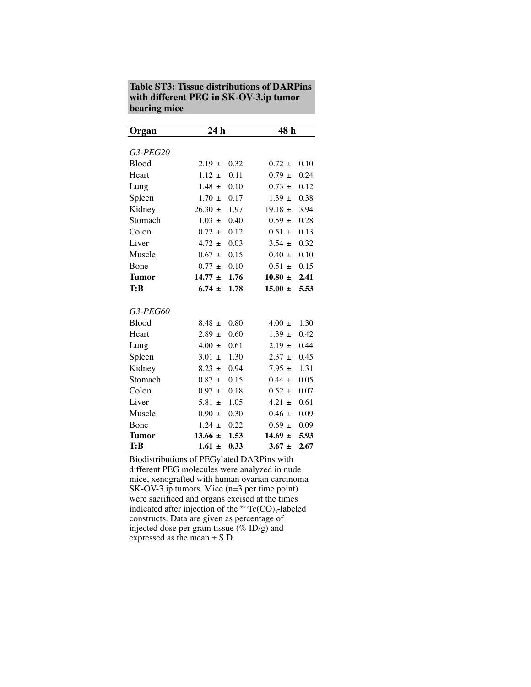| Organ        |             | 24 <sub>h</sub> |             | 48 h |
|--------------|-------------|-----------------|-------------|------|
|              |             |                 |             |      |
| G3-PEG20     |             |                 |             |      |
| <b>Blood</b> | $2.19 \pm$  | 0.32            | $0.72 \pm$  | 0.10 |
| Heart        | $1.12 \pm$  | 0.11            | $0.79 \pm$  | 0.24 |
| Lung         | $1.48 \pm$  | 0.10            | $0.73 \pm$  | 0.12 |
| Spleen       | $1.70 \pm$  | 0.17            | $1.39 \pm$  | 0.38 |
| Kidney       | $26.30 \pm$ | 1.97            | $19.18 \pm$ | 3.94 |
| Stomach      | $1.03 \pm$  | 0.40            | $0.59 \pm$  | 0.28 |
| Colon        | $0.72 \pm$  | 0.12            | $0.51 \pm$  | 0.13 |
| Liver        | 4.72 $\pm$  | 0.03            | $3.54 \pm$  | 0.32 |
| Muscle       | $0.67 \pm$  | 0.15            | $0.40 \pm$  | 0.10 |
| Bone         | $0.77 \pm$  | 0.10            | $0.51 \pm$  | 0.15 |
| Tumor        | $14.77 \pm$ | 1.76            | $10.80 \pm$ | 2.41 |
| T:B          | $6.74 \pm$  | 1.78            | $15.00 \pm$ | 5.53 |
| G3-PEG60     |             |                 |             |      |
| <b>Blood</b> |             |                 |             | 1.30 |
|              | $8.48 \pm$  | 0.80            | $4.00 \pm$  |      |
| Heart        | $2.89 \pm$  | 0.60            | $1.39 \pm$  | 0.42 |
| Lung         | $4.00 \pm$  | 0.61            | $2.19 \pm$  | 0.44 |
| Spleen       | $3.01 \pm$  | 1.30            | $2.37 \pm$  | 0.45 |
| Kidney       | $8.23 \pm$  | 0.94            | $7.95 \pm$  | 1.31 |
| Stomach      | $0.87 \pm$  | 0.15            | $0.44 \pm$  | 0.05 |
| Colon        | $0.97 \pm$  | 0.18            | $0.52 \pm$  | 0.07 |
| Liver        | 5.81 $\pm$  | 1.05            | 4.21 $\pm$  | 0.61 |
| Muscle       | $0.90 \pm$  | 0.30            | $0.46 \pm$  | 0.09 |
| Bone         | $1.24 \pm$  | 0.22            | $0.69 \pm$  | 0.09 |
| <b>Tumor</b> | $13.66 \pm$ | 1.53            | $14.69 \pm$ | 5.93 |
| T:B          | $1.61 \pm$  | 0.33            | $3.67 \pm$  | 2.67 |

#### **Table ST3: Tissue distributions of DARPins with different PEG in SK-OV-3.ip tumor bearing mice**

Biodistributions of PEGylated DARPins with different PEG molecules were analyzed in nude mice, xenografted with human ovarian carcinoma SK-OV-3.ip tumors. Mice (n=3 per time point) were sacrificed and organs excised at the times indicated after injection of the  $\frac{99m}{2}$ Tc(CO)<sub>3</sub>-labeled constructs. Data are given as percentage of injected dose per gram tissue (% ID/g) and expressed as the mean  $\pm$  S.D.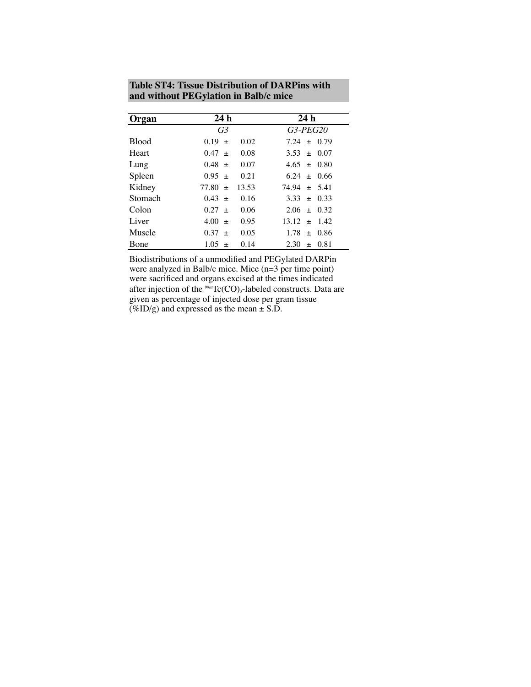| Table ST4: Tissue Distribution of DARPins with |  |
|------------------------------------------------|--|
| and without PEGylation in Balb/c mice          |  |

| Organ        | 24 <sub>h</sub>      | 24h              |
|--------------|----------------------|------------------|
|              | G <sub>3</sub>       | $G3-PEG20$       |
| <b>Blood</b> | 0.02<br>$0.19 \pm$   | $7.24 \pm 0.79$  |
| Heart        | 0.08<br>$0.47 \pm$   | $3.53 \pm 0.07$  |
| Lung         | 0.07<br>$0.48 \pm$   | $4.65 \pm 0.80$  |
| Spleen       | $0.95 \pm$<br>0.21   | $6.24 \pm 0.66$  |
| Kidney       | $77.80 \pm$<br>13.53 | $74.94 \pm 5.41$ |
| Stomach      | $0.43 \pm$<br>0.16   | $3.33 \pm 0.33$  |
| Colon        | 0.06<br>$0.27 \pm$   | $2.06 \pm 0.32$  |
| Liver        | 0.95<br>$4.00 \pm$   | $13.12 \pm 1.42$ |
| Muscle       | 0.05<br>$0.37 \pm$   | $1.78 \pm 0.86$  |
| Bone         | 0.14<br>$1.05 \pm$   | $2.30 \pm 0.81$  |

Biodistributions of a unmodified and PEGylated DARPin were analyzed in Balb/c mice. Mice (n=3 per time point) were sacrificed and organs excised at the times indicated after injection of the  $99mTc(CO)$ <sub>3</sub>-labeled constructs. Data are given as percentage of injected dose per gram tissue  $(\%ID/g)$  and expressed as the mean  $\pm$  S.D.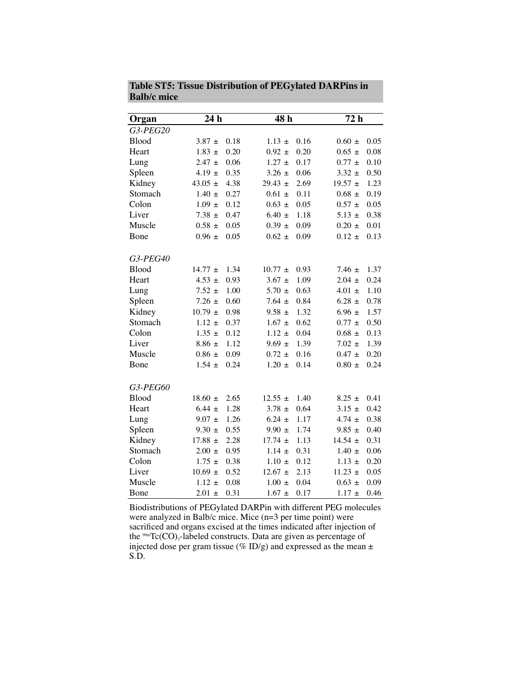| Organ        | 24 h        |      | 48 h          |      | 72 h        |      |
|--------------|-------------|------|---------------|------|-------------|------|
| G3-PEG20     |             |      |               |      |             |      |
| Blood        | $3.87 \pm$  | 0.18 | $1.13 \pm$    | 0.16 | $0.60 \pm$  | 0.05 |
| Heart        | $1.83 \pm$  | 0.20 | $0.92 \pm$    | 0.20 | $0.65 \pm$  | 0.08 |
| Lung         | $2.47 \pm$  | 0.06 | $1.27 \pm$    | 0.17 | $0.77 \pm$  | 0.10 |
| Spleen       | 4.19 $\pm$  | 0.35 | $3.26 \pm$    | 0.06 | $3.32 \pm$  | 0.50 |
| Kidney       | 43.05 $\pm$ | 4.38 | $29.43 \pm$   | 2.69 | $19.57 \pm$ | 1.23 |
| Stomach      | $1.40 \pm$  | 0.27 | $0.61 \pm$    | 0.11 | $0.68 \pm$  | 0.19 |
| Colon        |             | 0.12 | $0.63 \pm$    | 0.05 | $0.57 \pm$  | 0.05 |
| Liver        | $1.09 \pm$  | 0.47 |               | 1.18 | $5.13 \pm$  | 0.38 |
| Muscle       | $7.38 \pm$  |      | $6.40 \pm$    |      |             |      |
|              | $0.58 \pm$  | 0.05 | $0.39 \pm$    | 0.09 | $0.20 \pm$  | 0.01 |
| Bone         | $0.96 \pm$  | 0.05 | $0.62 \pm$    | 0.09 | $0.12 \pm$  | 0.13 |
| G3-PEG40     |             |      |               |      |             |      |
| Blood        | $14.77 \pm$ | 1.34 | $10.77 \pm$   | 0.93 | 7.46 $\pm$  | 1.37 |
| Heart        | $4.53 \pm$  | 0.93 | $3.67 \pm$    | 1.09 | $2.04 \pm$  | 0.24 |
| Lung         | $7.52 \pm$  | 1.00 | $5.70\,\pm\,$ | 0.63 | 4.01 $\pm$  | 1.10 |
| Spleen       | $7.26 \pm$  | 0.60 | $7.64 \pm$    | 0.84 | $6.28 \pm$  | 0.78 |
| Kidney       | $10.79 \pm$ | 0.98 | $9.58 \pm$    | 1.32 | $6.96 \pm$  | 1.57 |
| Stomach      | $1.12 \pm$  | 0.37 | $1.67 \pm$    | 0.62 | $0.77 \pm$  | 0.50 |
| Colon        | $1.35 \pm$  | 0.12 | $1.12 \pm$    | 0.04 | $0.68 \pm$  | 0.13 |
| Liver        | $8.86 \pm$  | 1.12 | $9.69 \pm$    | 1.39 | $7.02 \pm$  | 1.39 |
| Muscle       | $0.86 \pm$  | 0.09 | $0.72 \pm$    | 0.16 | $0.47 \pm$  | 0.20 |
| Bone         | $1.54 \pm$  | 0.24 | $1.20 \pm$    | 0.14 | $0.80 \pm$  | 0.24 |
|              |             |      |               |      |             |      |
| G3-PEG60     |             |      |               |      |             |      |
| <b>Blood</b> | $18.60 \pm$ | 2.65 | $12.55 \pm$   | 1.40 | $8.25 \pm$  | 0.41 |
| Heart        | $6.44 \pm$  | 1.28 | $3.78 \pm$    | 0.64 | $3.15 \pm$  | 0.42 |
| Lung         | $9.07 \pm$  | 1.26 | $6.24 \pm$    | 1.17 | 4.74 $\pm$  | 0.38 |
| Spleen       | $9.30 \pm$  | 0.55 | $9.90 \pm$    | 1.74 | $9.85 \pm$  | 0.40 |
| Kidney       | $17.88 \pm$ | 2.28 | $17.74 \pm$   | 1.13 | $14.54 \pm$ | 0.31 |
| Stomach      | $2.00 \pm$  | 0.95 | $1.14 \pm$    | 0.31 | $1.40 \pm$  | 0.06 |
| Colon        | $1.75 \pm$  | 0.38 | $1.10 \pm$    | 0.12 | $1.13 \pm$  | 0.20 |
| Liver        | $10.69 \pm$ | 0.52 | $12.67 \pm$   | 2.13 | $11.23 \pm$ | 0.05 |
| Muscle       | $1.12 \pm$  | 0.08 | $1.00 \pm$    | 0.04 | $0.63 \pm$  | 0.09 |
| Bone         | $2.01 \pm$  | 0.31 | $1.67 \pm$    | 0.17 | $1.17 \pm$  | 0.46 |

**Table ST5: Tissue Distribution of PEGylated DARPins in Balb/c mice**

Biodistributions of PEGylated DARPin with different PEG molecules were analyzed in Balb/c mice. Mice (n=3 per time point) were sacrificed and organs excised at the times indicated after injection of the  $99mTc(CO)$ <sub>3</sub>-labeled constructs. Data are given as percentage of injected dose per gram tissue (% ID/g) and expressed as the mean  $\pm$ S.D.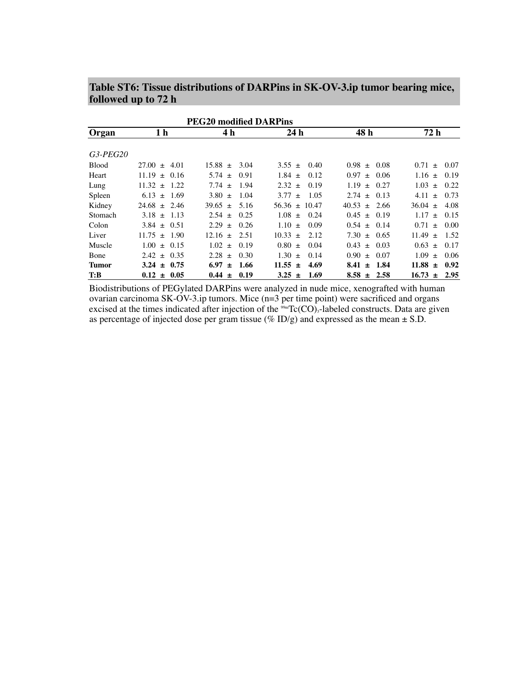| <b>PEG20 modified DARPins</b> |                     |                        |                     |                    |                       |  |  |
|-------------------------------|---------------------|------------------------|---------------------|--------------------|-----------------------|--|--|
| Organ                         | 1 <sub>h</sub>      | 4 h                    | 24 h                | 48 h               | 72 h                  |  |  |
|                               |                     |                        |                     |                    |                       |  |  |
| $G3-PEG20$                    |                     |                        |                     |                    |                       |  |  |
| <b>Blood</b>                  | $27.00 \pm 4.01$    | $15.88 \pm$<br>3.04    | $3.55 \pm$<br>0.40  | $0.98 \pm 0.08$    | $0.71 \pm$<br>0.07    |  |  |
| Heart                         | $11.19 \pm 0.16$    | 5.74 $\pm$<br>0.91     | 1.84 $\pm$<br>0.12  | 0.97<br>$\pm$ 0.06 | $1.16 \pm$<br>0.19    |  |  |
| Lung                          | $11.32 \pm 1.22$    | 7.74 $\pm$<br>- 1.94   | $2.32 \pm$<br>0.19  | $1.19 \pm 0.27$    | 1.03<br>0.22<br>$\pm$ |  |  |
| Spleen                        | $6.13 \pm 1.69$     | $3.80 \pm$<br>1.04     | $3.77 \pm$<br>1.05  | $2.74 \pm 0.13$    | 4.11<br>$\pm$ 0.73    |  |  |
| Kidney                        | $24.68 \pm 2.46$    | $39.65 \pm$<br>5.16    | $56.36 \pm 10.47$   | $40.53 \pm 2.66$   | $36.04 \pm$<br>4.08   |  |  |
| Stomach                       | $3.18 \pm 1.13$     | $2.54 \pm$<br>0.25     | $1.08 \pm$<br>0.24  | $0.45 \pm 0.19$    | 0.15<br>1.17<br>$+$   |  |  |
| Colon                         | $3.84 \pm 0.51$     | $2.29 \pm$<br>0.26     | $1.10 \pm$<br>0.09  | $0.54 \pm 0.14$    | $0.71 \pm$<br>0.00    |  |  |
| Liver                         | $11.75 \pm$<br>1.90 | $12.16 \pm$<br>2.51    | $10.33 \pm$<br>2.12 | $7.30 \pm 0.65$    | 11.49<br>1.52<br>$+$  |  |  |
| Muscle                        | $1.00 \pm 0.15$     | $1.02 \pm$<br>0.19     | $0.80 \pm$<br>0.04  | $0.43 \pm 0.03$    | $0.63 \pm$<br>0.17    |  |  |
| Bone                          | $2.42 \pm 0.35$     | $2.28 \pm$<br>0.30     | $1.30 \pm$<br>0.14  | $0.90 \pm 0.07$    | $1.09 \pm$<br>0.06    |  |  |
| <b>Tumor</b>                  | $3.24 \pm 0.75$     | 6.97<br>-1.66<br>$\pm$ | $11.55 \pm$<br>4.69 | $8.41 \pm 1.84$    | $11.88 \pm$<br>0.92   |  |  |
| T:B                           | $0.12 \pm 0.05$     | $0.44 \pm$<br>0.19     | $3.25 \pm$<br>1.69  | $8.58 \pm 2.58$    | $16.73 \pm$<br>2.95   |  |  |

|                     | Table ST6: Tissue distributions of DARPins in SK-OV-3.ip tumor bearing mice, |  |
|---------------------|------------------------------------------------------------------------------|--|
| followed up to 72 h |                                                                              |  |

Biodistributions of PEGylated DARPins were analyzed in nude mice, xenografted with human ovarian carcinoma SK-OV-3.ip tumors. Mice (n=3 per time point) were sacrificed and organs excised at the times indicated after injection of the  $\mathcal{P}_{\text{max}}TC(CO)_{3}$ -labeled constructs. Data are given as percentage of injected dose per gram tissue (% ID/g) and expressed as the mean  $\pm$  S.D.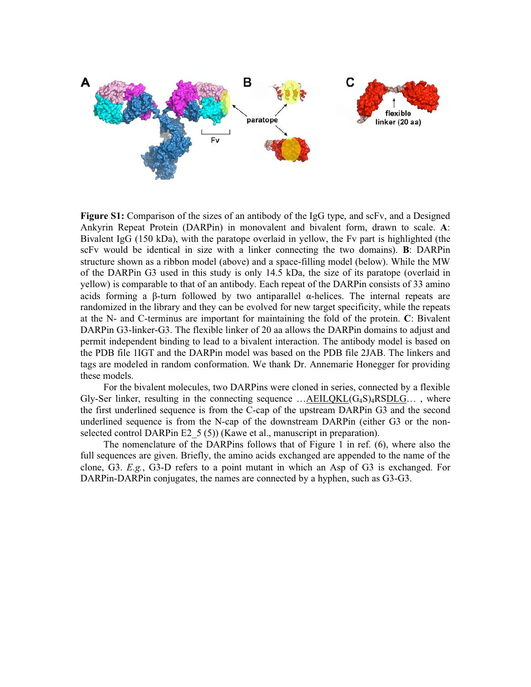

**Figure S1:** Comparison of the sizes of an antibody of the IgG type, and scFv, and a Designed Ankyrin Repeat Protein (DARPin) in monovalent and bivalent form, drawn to scale. **A**: Bivalent IgG (150 kDa), with the paratope overlaid in yellow, the Fv part is highlighted (the scFv would be identical in size with a linker connecting the two domains). **B**: DARPin structure shown as a ribbon model (above) and a space-filling model (below). While the MW of the DARPin G3 used in this study is only 14.5 kDa, the size of its paratope (overlaid in yellow) is comparable to that of an antibody. Each repeat of the DARPin consists of 33 amino acids forming a  $\beta$ -turn followed by two antiparallel  $\alpha$ -helices. The internal repeats are randomized in the library and they can be evolved for new target specificity, while the repeats at the N- and C-terminus are important for maintaining the fold of the protein. **C**: Bivalent DARPin G3-linker-G3. The flexible linker of 20 aa allows the DARPin domains to adjust and permit independent binding to lead to a bivalent interaction. The antibody model is based on the PDB file 1IGT and the DARPin model was based on the PDB file 2JAB. The linkers and tags are modeled in random conformation. We thank Dr. Annemarie Honegger for providing these models.

For the bivalent molecules, two DARPins were cloned in series, connected by a flexible Gly-Ser linker, resulting in the connecting sequence ...  $AEILQKL(G_4S)_4RSDLG...$ , where the first underlined sequence is from the C-cap of the upstream DARPin G3 and the second underlined sequence is from the N-cap of the downstream DARPin (either G3 or the nonselected control DARPin E2\_5 (5)) (Kawe et al., manuscript in preparation).

The nomenclature of the DARPins follows that of Figure 1 in ref. (6), where also the full sequences are given. Briefly, the amino acids exchanged are appended to the name of the clone, G3. *E.g.*, G3-D refers to a point mutant in which an Asp of G3 is exchanged. For DARPin-DARPin conjugates, the names are connected by a hyphen, such as G3-G3.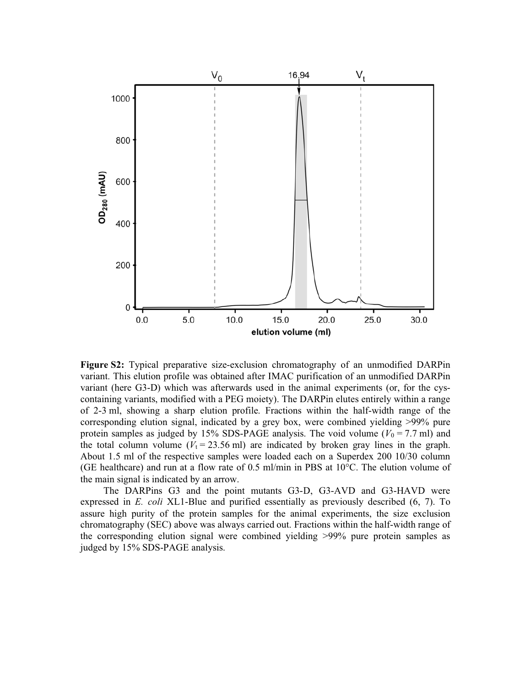

**Figure S2:** Typical preparative size-exclusion chromatography of an unmodified DARPin variant. This elution profile was obtained after IMAC purification of an unmodified DARPin variant (here G3-D) which was afterwards used in the animal experiments (or, for the cyscontaining variants, modified with a PEG moiety). The DARPin elutes entirely within a range of 2-3 ml, showing a sharp elution profile. Fractions within the half-width range of the corresponding elution signal, indicated by a grey box, were combined yielding >99% pure protein samples as judged by 15% SDS-PAGE analysis. The void volume ( $V_0$  = 7.7 ml) and the total column volume ( $V_t$  = 23.56 ml) are indicated by broken gray lines in the graph. About 1.5 ml of the respective samples were loaded each on a Superdex 200 10/30 column (GE healthcare) and run at a flow rate of 0.5 ml/min in PBS at 10°C. The elution volume of the main signal is indicated by an arrow.

The DARPins G3 and the point mutants G3-D, G3-AVD and G3-HAVD were expressed in *E. coli* XL1-Blue and purified essentially as previously described (6, 7). To assure high purity of the protein samples for the animal experiments, the size exclusion chromatography (SEC) above was always carried out. Fractions within the half-width range of the corresponding elution signal were combined yielding >99% pure protein samples as judged by 15% SDS-PAGE analysis.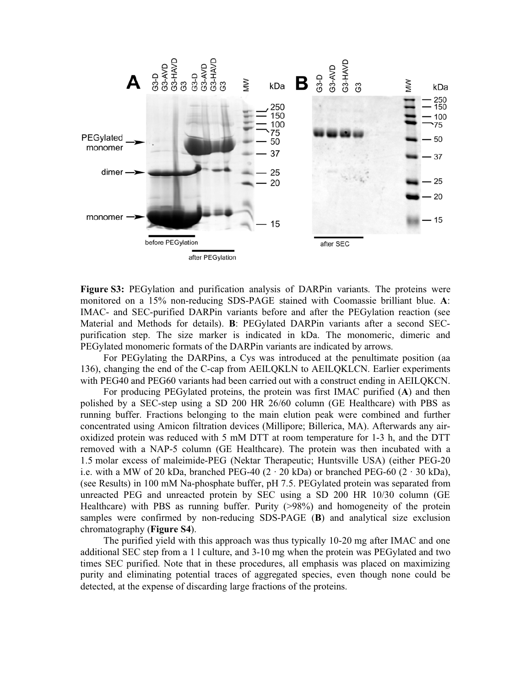

**Figure S3:** PEGylation and purification analysis of DARPin variants. The proteins were monitored on a 15% non-reducing SDS-PAGE stained with Coomassie brilliant blue. **A**: IMAC- and SEC-purified DARPin variants before and after the PEGylation reaction (see Material and Methods for details). **B**: PEGylated DARPin variants after a second SECpurification step. The size marker is indicated in kDa. The monomeric, dimeric and PEGylated monomeric formats of the DARPin variants are indicated by arrows.

For PEGylating the DARPins, a Cys was introduced at the penultimate position (aa 136), changing the end of the C-cap from AEILQKLN to AEILQKLCN. Earlier experiments with PEG40 and PEG60 variants had been carried out with a construct ending in AEILQKCN.

For producing PEGylated proteins, the protein was first IMAC purified (**A**) and then polished by a SEC-step using a SD 200 HR 26/60 column (GE Healthcare) with PBS as running buffer. Fractions belonging to the main elution peak were combined and further concentrated using Amicon filtration devices (Millipore; Billerica, MA). Afterwards any airoxidized protein was reduced with 5 mM DTT at room temperature for 1-3 h, and the DTT removed with a NAP-5 column (GE Healthcare). The protein was then incubated with a 1.5 molar excess of maleimide-PEG (Nektar Therapeutic; Huntsville USA) (either PEG-20 i.e. with a MW of 20 kDa, branched PEG-40  $(2 \cdot 20 \text{ kDa})$  or branched PEG-60  $(2 \cdot 30 \text{ kDa})$ , (see Results) in 100 mM Na-phosphate buffer, pH 7.5. PEGylated protein was separated from unreacted PEG and unreacted protein by SEC using a SD 200 HR 10/30 column (GE Healthcare) with PBS as running buffer. Purity (>98%) and homogeneity of the protein samples were confirmed by non-reducing SDS-PAGE (**B**) and analytical size exclusion chromatography (**Figure S4**).

The purified yield with this approach was thus typically 10-20 mg after IMAC and one additional SEC step from a 1 l culture, and 3-10 mg when the protein was PEGylated and two times SEC purified. Note that in these procedures, all emphasis was placed on maximizing purity and eliminating potential traces of aggregated species, even though none could be detected, at the expense of discarding large fractions of the proteins.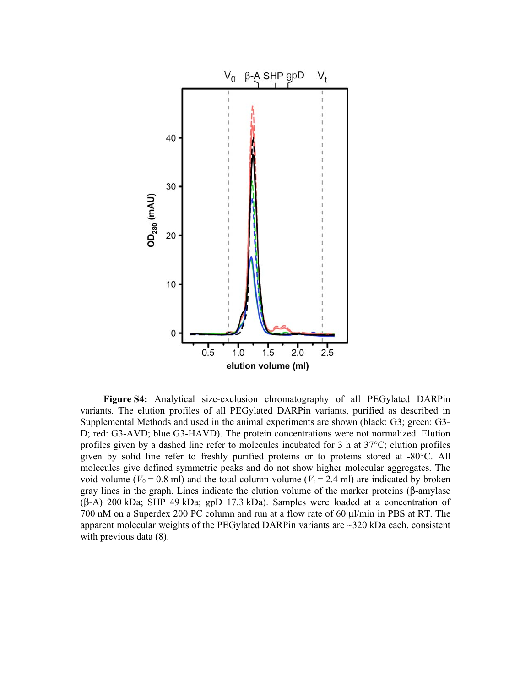

**Figure S4:** Analytical size-exclusion chromatography of all PEGylated DARPin variants. The elution profiles of all PEGylated DARPin variants, purified as described in Supplemental Methods and used in the animal experiments are shown (black: G3; green: G3- D; red: G3-AVD; blue G3-HAVD). The protein concentrations were not normalized. Elution profiles given by a dashed line refer to molecules incubated for 3 h at 37°C; elution profiles given by solid line refer to freshly purified proteins or to proteins stored at -80°C. All molecules give defined symmetric peaks and do not show higher molecular aggregates. The void volume ( $V_0$  = 0.8 ml) and the total column volume ( $V_t$  = 2.4 ml) are indicated by broken gray lines in the graph. Lines indicate the elution volume of the marker proteins  $(\beta$ -amylase  $(\beta-A)$  200 kDa; SHP 49 kDa; gpD 17.3 kDa). Samples were loaded at a concentration of 700 nM on a Superdex 200 PC column and run at a flow rate of 60 μl/min in PBS at RT. The apparent molecular weights of the PEGylated DARPin variants are ~320 kDa each, consistent with previous data (8).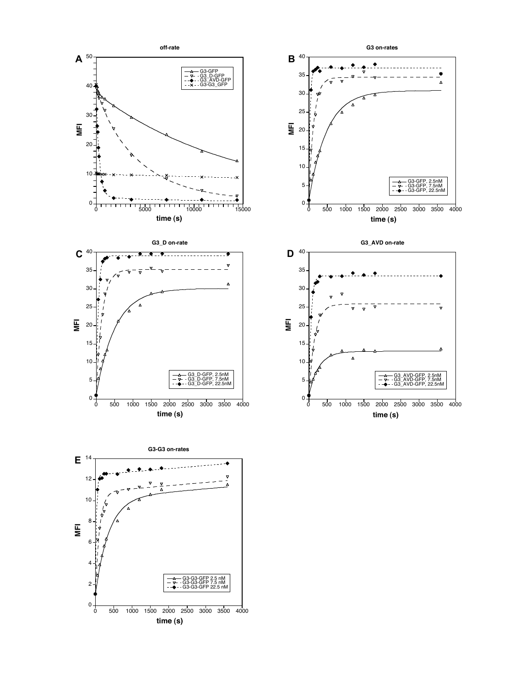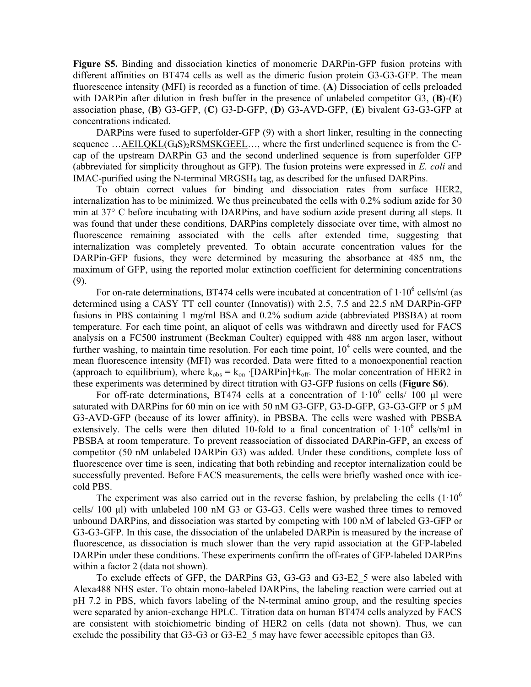**Figure S5.** Binding and dissociation kinetics of monomeric DARPin-GFP fusion proteins with different affinities on BT474 cells as well as the dimeric fusion protein G3-G3-GFP. The mean fluorescence intensity (MFI) is recorded as a function of time. (**A**) Dissociation of cells preloaded with DARPin after dilution in fresh buffer in the presence of unlabeled competitor G3, (**B**)-(**E**) association phase, (**B**) G3-GFP, (**C**) G3-D-GFP, (**D**) G3-AVD-GFP, (**E**) bivalent G3-G3-GFP at concentrations indicated.

DARPins were fused to superfolder-GFP (9) with a short linker, resulting in the connecting sequence  $\ldots$ AEILQKL(G<sub>4</sub>S)<sub>2</sub>RSMSKGEEL..., where the first underlined sequence is from the Ccap of the upstream DARPin G3 and the second underlined sequence is from superfolder GFP (abbreviated for simplicity throughout as GFP). The fusion proteins were expressed in *E. coli* and IMAC-purified using the N-terminal  $MRGSH_6$  tag, as described for the unfused DARPins.

To obtain correct values for binding and dissociation rates from surface HER2, internalization has to be minimized. We thus preincubated the cells with 0.2% sodium azide for 30 min at 37° C before incubating with DARPins, and have sodium azide present during all steps. It was found that under these conditions, DARPins completely dissociate over time, with almost no fluorescence remaining associated with the cells after extended time, suggesting that internalization was completely prevented. To obtain accurate concentration values for the DARPin-GFP fusions, they were determined by measuring the absorbance at 485 nm, the maximum of GFP, using the reported molar extinction coefficient for determining concentrations (9).

For on-rate determinations, BT474 cells were incubated at concentration of  $1 \cdot 10^6$  cells/ml (as determined using a CASY TT cell counter (Innovatis)) with 2.5, 7.5 and 22.5 nM DARPin-GFP fusions in PBS containing 1 mg/ml BSA and 0.2% sodium azide (abbreviated PBSBA) at room temperature. For each time point, an aliquot of cells was withdrawn and directly used for FACS analysis on a FC500 instrument (Beckman Coulter) equipped with 488 nm argon laser, without further washing, to maintain time resolution. For each time point,  $10<sup>4</sup>$  cells were counted, and the mean fluorescence intensity (MFI) was recorded. Data were fitted to a monoexponential reaction (approach to equilibrium), where  $k_{obs} = k_{on}$  ·[DARPin]+ $k_{off}$ . The molar concentration of HER2 in these experiments was determined by direct titration with G3-GFP fusions on cells (**Figure S6**).

For off-rate determinations, BT474 cells at a concentration of  $1.10^6$  cells/ 100  $\mu$ l were saturated with DARPins for 60 min on ice with 50 nM G3-GFP, G3-D-GFP, G3-G3-GFP or 5  $\mu$ M G3-AVD-GFP (because of its lower affinity), in PBSBA. The cells were washed with PBSBA extensively. The cells were then diluted 10-fold to a final concentration of  $1 \cdot 10^6$  cells/ml in PBSBA at room temperature. To prevent reassociation of dissociated DARPin-GFP, an excess of competitor (50 nM unlabeled DARPin G3) was added. Under these conditions, complete loss of fluorescence over time is seen, indicating that both rebinding and receptor internalization could be successfully prevented. Before FACS measurements, the cells were briefly washed once with icecold PBS.

The experiment was also carried out in the reverse fashion, by prelabeling the cells  $(1 \cdot 10^6)$ cells/ 100 μl) with unlabeled 100 nM G3 or G3-G3. Cells were washed three times to removed unbound DARPins, and dissociation was started by competing with 100 nM of labeled G3-GFP or G3-G3-GFP. In this case, the dissociation of the unlabeled DARPin is measured by the increase of fluorescence, as dissociation is much slower than the very rapid association at the GFP-labeled DARPin under these conditions. These experiments confirm the off-rates of GFP-labeled DARPins within a factor 2 (data not shown).

To exclude effects of GFP, the DARPins G3, G3-G3 and G3-E2\_5 were also labeled with Alexa488 NHS ester. To obtain mono-labeled DARPins, the labeling reaction were carried out at pH 7.2 in PBS, which favors labeling of the N-terminal amino group, and the resulting species were separated by anion-exchange HPLC. Titration data on human BT474 cells analyzed by FACS are consistent with stoichiometric binding of HER2 on cells (data not shown). Thus, we can exclude the possibility that G3-G3 or G3-E2\_5 may have fewer accessible epitopes than G3.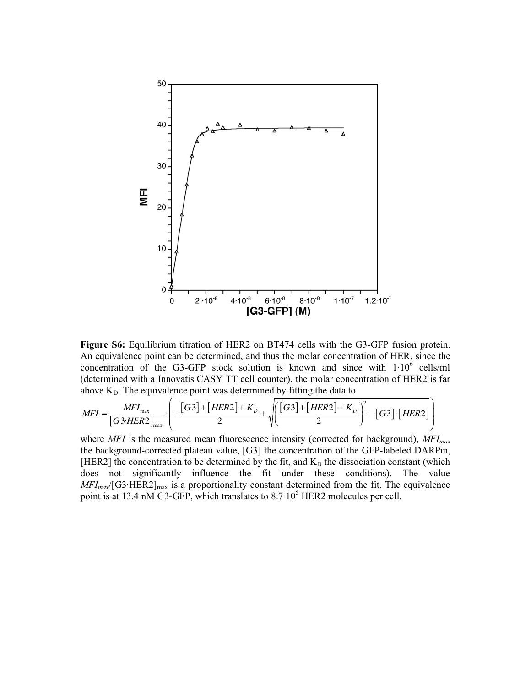

**Figure S6:** Equilibrium titration of HER2 on BT474 cells with the G3-GFP fusion protein. An equivalence point can be determined, and thus the molar concentration of HER, since the concentration of the G3-GFP stock solution is known and since with  $1 \cdot 10^6$  cells/ml (determined with a Innovatis CASY TT cell counter), the molar concentration of HER2 is far above  $K_D$ . The equivalence point was determined by fitting the data to

$$
MFI = \frac{MFI_{\text{max}}}{[G3\text{-}HER2]} \cdot \left( -\frac{[G3] + [HER2] + K_D}{2} + \sqrt{\left( \frac{[G3] + [HER2] + K_D}{2} \right)^2 - [G3] \cdot [HER2]} \right)
$$

where *MFI* is the measured mean fluorescence intensity (corrected for background), *MFI<sub>max</sub>* the background-corrected plateau value, [G3] the concentration of the GFP-labeled DARPin, [HER2] the concentration to be determined by the fit, and  $K_D$  the dissociation constant (which does not significantly influence the fit under these conditions). The value *MFI<sub>max</sub>*/[G3·HER2]<sub>max</sub> is a proportionality constant determined from the fit. The equivalence point is at 13.4 nM G3-GFP, which translates to  $8.7 \cdot 10^5$  HER2 molecules per cell.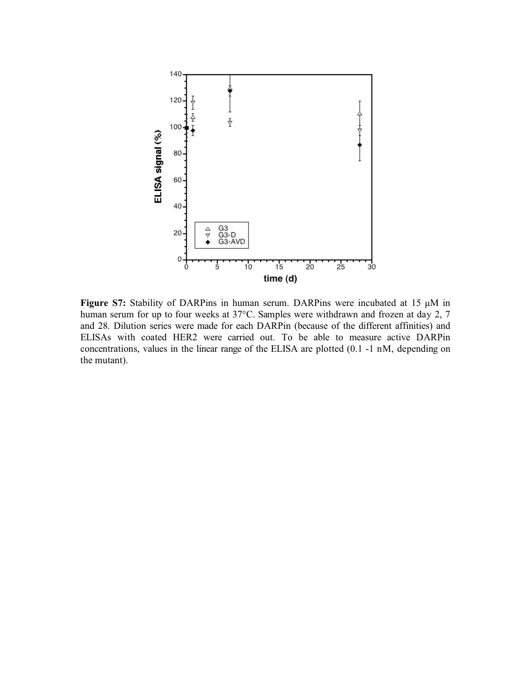

**Figure S7:** Stability of DARPins in human serum. DARPins were incubated at 15 μM in human serum for up to four weeks at 37°C. Samples were withdrawn and frozen at day 2, 7 and 28. Dilution series were made for each DARPin (because of the different affinities) and ELISAs with coated HER2 were carried out. To be able to measure active DARPin concentrations, values in the linear range of the ELISA are plotted (0.1 -1 nM, depending on the mutant).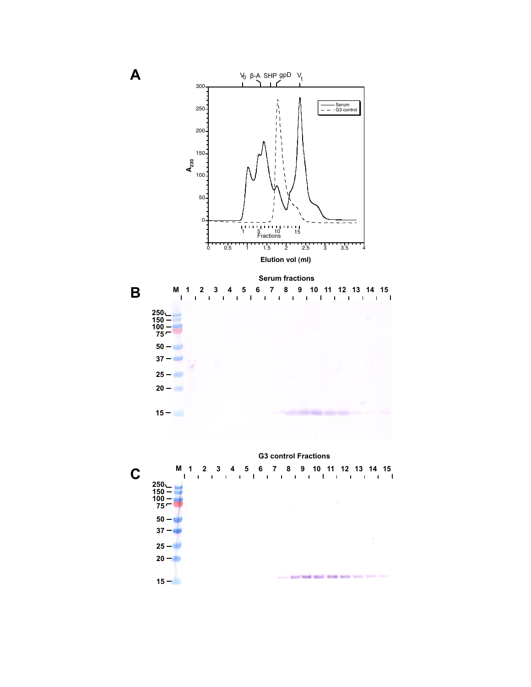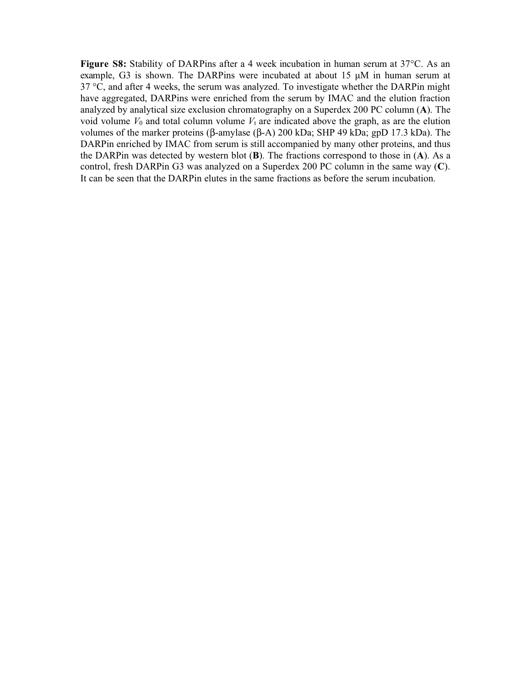**Figure S8:** Stability of DARPins after a 4 week incubation in human serum at 37°C. As an example, G3 is shown. The DARPins were incubated at about  $15 \mu M$  in human serum at  $37 \text{ °C}$ , and after 4 weeks, the serum was analyzed. To investigate whether the DARPin might have aggregated, DARPins were enriched from the serum by IMAC and the elution fraction analyzed by analytical size exclusion chromatography on a Superdex 200 PC column (A). The void volume  $V_0$  and total column volume  $V_t$  are indicated above the graph, as are the elution void volume *V*<sub>0</sub> and total column volume *V*<sub>t</sub> are indicated above the graph, as are the elution volumes of the marker proteins (β-amylase (β-A) 200 kDa; SHP 49 kDa; gpD 17.3 kDa). The DARPin enriched by IMAC from serum is still accompanied by many other proteins, and thus the DARPin was detected by western blot (**B**). The fractions correspond to those in (**A**). As a control, fresh DARPin G3 was analyzed on a Superdex 200 PC column in the same way (**C**). It can be seen that the DARPin elutes in the same fractions as before the serum incubation.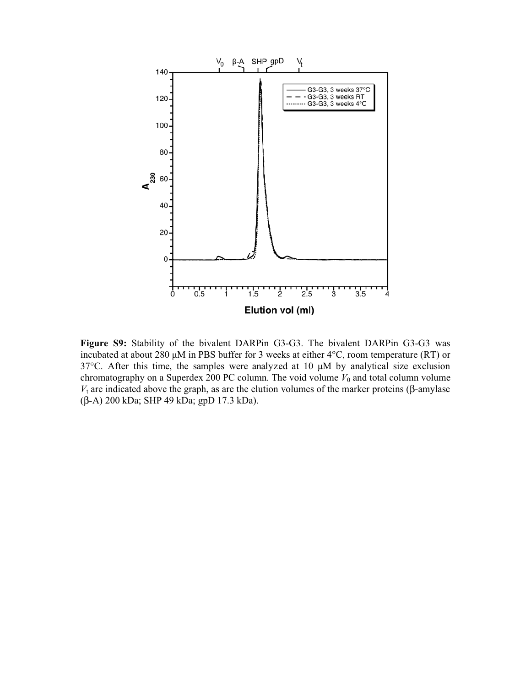

**Figure S9:** Stability of the bivalent DARPin G3-G3. The bivalent DARPin G3-G3 was incubated at about 280 μM in PBS buffer for 3 weeks at either 4°C, room temperature (RT) or 37°C. After this time, the samples were analyzed at 10 μM by analytical size exclusion chromatography on a Superdex  $200$  PC column. The void volume  $V_0$  and total column volume  $V_t$  are indicated above the graph, as are the elution volumes of the marker proteins ( $\beta$ -amylase  $(B-A)$ ) 200 kDa: SHP 49 kDa:  $\sigma D$  17.3 kDa) (β-A) 200 kDa; SHP 49 kDa; gpD 17.3 kDa).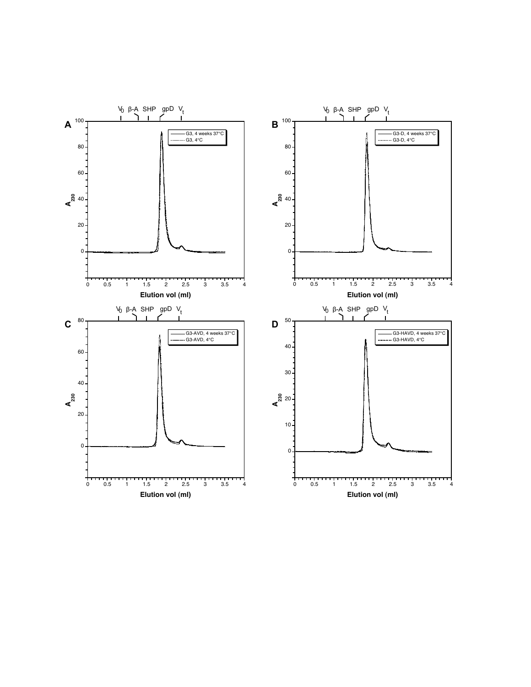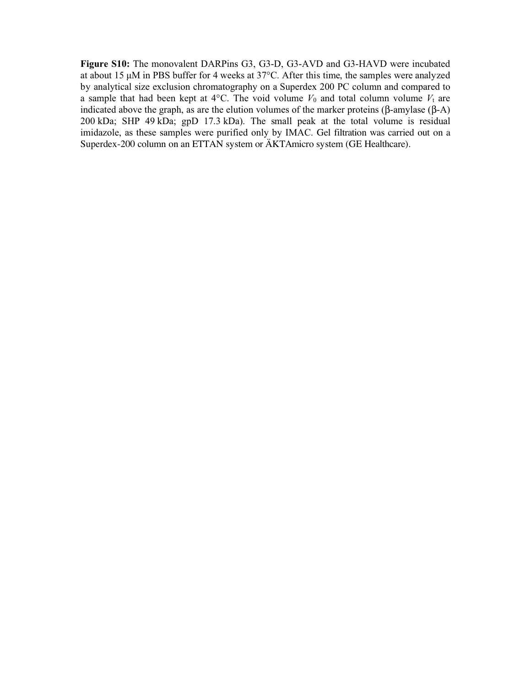**Figure S10:** The monovalent DARPins G3, G3-D, G3-AVD and G3-HAVD were incubated at about 15 μM in PBS buffer for 4 weeks at 37°C. After this time, the samples were analyzed by analytical size exclusion chromatography on a Superdex 200 PC column and compared to a sample that had been kept at  $4^{\circ}$ C. The void volume  $V_0$  and total column volume  $V_t$  are indicated above the graph, as are the elution volumes of the marker proteins ( $\beta$ -amylase ( $\beta$ -A) 200 kDa; SHP 49 kDa; gpD 17.3 kDa). The small peak at the total volume is residual imidazole, as these samples were purified only by IMAC. Gel filtration was carried out on a Superdex-200 column on an ETTAN system or ÄKTAmicro system (GE Healthcare).